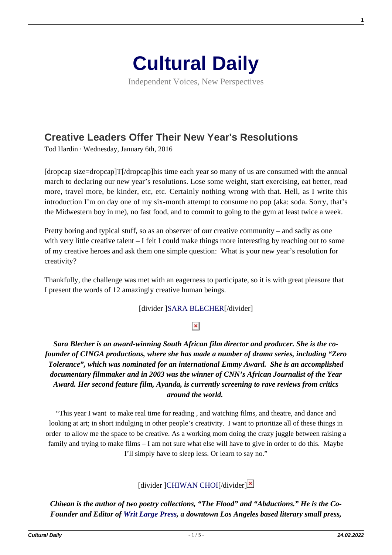

Independent Voices, New Perspectives

# **[Creative Leaders Offer Their New Year's Resolutions](https://culturaldaily.com/new-years-resolutions-for-creativity/)**

Tod Hardin · Wednesday, January 6th, 2016

[dropcap size=dropcap]T[/dropcap]his time each year so many of us are consumed with the annual march to declaring our new year's resolutions. Lose some weight, start exercising, eat better, read more, travel more, be kinder, etc, etc. Certainly nothing wrong with that. Hell, as I write this introduction I'm on day one of my six-month attempt to consume no pop (aka: soda. Sorry, that's the Midwestern boy in me), no fast food, and to commit to going to the gym at least twice a week.

Pretty boring and typical stuff, so as an observer of our creative community – and sadly as one with very little creative talent – I felt I could make things more interesting by reaching out to some of my creative heroes and ask them one simple question: What is your new year's resolution for creativity?

Thankfully, the challenge was met with an eagerness to participate, so it is with great pleasure that I present the words of 12 amazingly creative human beings.

### [divider [\]SARA BLECHER\[](http://www.arraynow.com/ayanda)/divider]

# $\pmb{\times}$

*Sara Blecher is an award-winning South African film director and producer. She is the cofounder of CINGA productions, where she has made a number of drama series, including "Zero Tolerance", which was nominated for an international Emmy Award. She is an accomplished documentary filmmaker and in 2003 was the winner of CNN's African Journalist of the Year Award. Her second feature film, Ayanda, is currently screening to rave reviews from critics around the world.* 

"This year I want to make real time for reading , and watching films, and theatre, and dance and looking at art; in short indulging in other people's creativity. I want to prioritize all of these things in order to allow me the space to be creative. As a working mom doing the crazy juggle between raising a family and trying to make films – I am not sure what else will have to give in order to do this. Maybe I'll simply have to sleep less. Or learn to say no."

# [divider ][CHIWAN CHOI\[](http://chiwanchoi.com/)/divider[\]](https://www.culturalweekly.com/wp-content/uploads/2016/01/ChiwanChoi.jpg) $\mathbf{\Sigma}$

*Chiwan is the author of two poetry collections, "The Flood" and "Abductions." He is the Co-Founder and Editor of [Writ Large Press](http://writlargepress.com/), a downtown Los Angeles based literary small press,*

**1**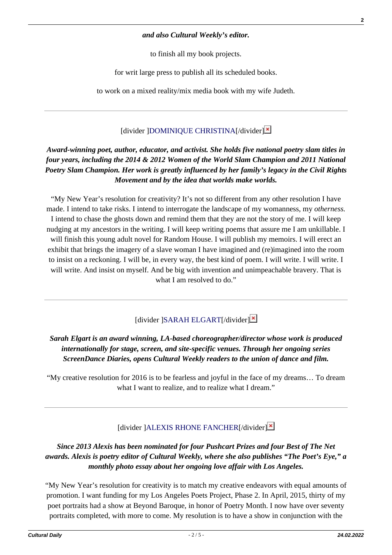#### *and also Cultural Weekly's editor.*

to finish all my book projects.

for writ large press to publish all its scheduled books.

to work on a mixed reality/mix media book with my wife Judeth.

# [divider ][DOMINIQUE CHRISTINA\[](http://www.dominiquechristina.com/)/divider[\]](https://www.culturalweekly.com/wp-content/uploads/2016/01/DOMINIQUE_CHRISTINA-e1451661893172.jpg)<sup>x</sup>

# *Award-winning poet, author, educator, and activist. She holds five national poetry slam titles in four years, including the 2014 & 2012 Women of the World Slam Champion and 2011 National Poetry Slam Champion. Her work is greatly influenced by her family's legacy in the Civil Rights Movement and by the idea that worlds make worlds.*

"My New Year's resolution for creativity? It's not so different from any other resolution I have made. I intend to take risks. I intend to interrogate the landscape of my womanness, my *otherness.* I intend to chase the ghosts down and remind them that they are not the story of me. I will keep nudging at my ancestors in the writing. I will keep writing poems that assure me I am unkillable. I will finish this young adult novel for Random House. I will publish my memoirs. I will erect an exhibit that brings the imagery of a slave woman I have imagined and (re)imagined into the room to insist on a reckoning. I will be, in every way, the best kind of poem. I will write. I will write. I will write. And insist on myself. And be big with invention and unimpeachable bravery. That is what I am resolved to do."

# $\left[$ divider  $\left[$ SARAH ELGART $\left[$ /divider $\right]$  $\mathbb{Z}$

# *Sarah Elgart is an award winning, LA-based choreographer/director whose work is produced internationally for stage, screen, and site-specific venues. Through her ongoing series ScreenDance Diaries, opens Cultural Weekly readers to the union of dance and film.*

"My creative resolution for 2016 is to be fearless and joyful in the face of my dreams… To dream what I want to realize, and to realize what I dream."

# [divider ][ALEXIS RHONE FANCHER](http://www.alexisrhonefancher.com/)I/divider<sup>[\]](https://www.culturalweekly.com/wp-content/uploads/2016/01/Alexis_Rhone_Fancher.jpg)</sup>

# *Since 2013 Alexis has been nominated for four Pushcart Prizes and four Best of The Net awards. Alexis is poetry editor of Cultural Weekly, where she also publishes "The Poet's Eye," a monthly photo essay about her ongoing love affair with Los Angeles.*

"My New Year's resolution for creativity is to match my creative endeavors with equal amounts of promotion. I want funding for my Los Angeles Poets Project, Phase 2. In April, 2015, thirty of my poet portraits had a show at Beyond Baroque, in honor of Poetry Month. I now have over seventy portraits completed, with more to come. My resolution is to have a show in conjunction with the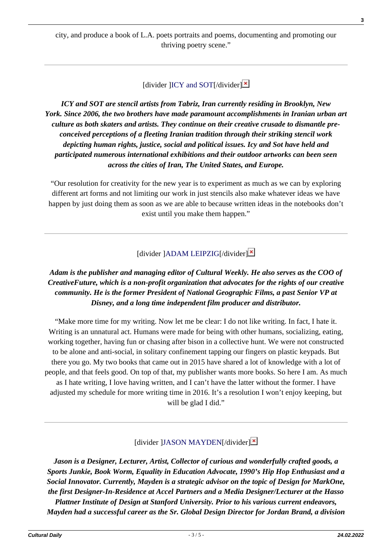city, and produce a book of L.A. poets portraits and poems, documenting and promoting our thriving poetry scene."

[divider  $[ICY$  and SOT[/divider] $\mathbf{\times}$ 

*ICY and SOT are stencil artists from Tabriz, Iran currently residing in Brooklyn, New York. Since 2006, the two brothers have made paramount accomplishments in Iranian urban art culture as both skaters and artists. They continue on their creative crusade to dismantle preconceived perceptions of a fleeting Iranian tradition through their striking stencil work depicting human rights, justice, social and political issues. Icy and Sot have held and participated numerous international exhibitions and their outdoor artworks can been seen across the cities of Iran, The United States, and Europe.*

"Our resolution for creativity for the new year is to experiment as much as we can by exploring different art forms and not limiting our work in just stencils also make whatever ideas we have happen by just doing them as soon as we are able to because written ideas in the notebooks don't exist until you make them happen."

 $\left[$ divider  $\left[$ ADAM LEIPZIG $\left[$ /divider $\right]$  $\right]$ 

# *Adam is the publisher and managing editor of Cultural Weekly. He also serves as the COO of CreativeFuture, which is a non-profit organization that advocates for the rights of our creative community. He is the former President of National Geographic Films, a past Senior VP at Disney, and a long time independent film producer and distributor.*

"Make more time for my writing. Now let me be clear: I do not like writing. In fact, I hate it. Writing is an unnatural act. Humans were made for being with other humans, socializing, eating, working together, having fun or chasing after bison in a collective hunt. We were not constructed to be alone and anti-social, in solitary confinement tapping our fingers on plastic keypads. But there you go. My two books that came out in 2015 have shared a lot of knowledge with a lot of people, and that feels good. On top of that, my publisher wants more books. So here I am. As much as I hate writing, I love having written, and I can't have the latter without the former. I have adjusted my schedule for more writing time in 2016. It's a resolution I won't enjoy keeping, but will be glad I did."

[divider [\]JASON MAYDEN\[](https://dschool.stanford.edu/fellowships/fellows/jason-mayden/)/divider]<sup>x</sup>

*Jason is a Designer, Lecturer, Artist, Collector of curious and wonderfully crafted goods, a Sports Junkie, Book Worm, Equality in Education Advocate, 1990's Hip Hop Enthusiast and a Social Innovator. Currently, Mayden is a strategic advisor on the topic of Design for MarkOne, the first Designer-In-Residence at Accel Partners and a Media Designer/Lecturer at the Hasso Plattner Institute of Design at Stanford University. Prior to his various current endeavors, Mayden had a successful career as the Sr. Global Design Director for Jordan Brand, a division*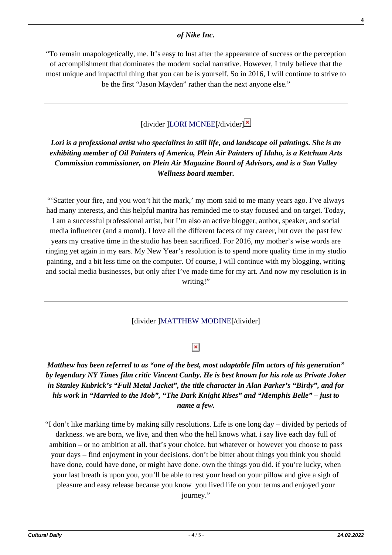#### *of Nike Inc.*

"To remain unapologetically, me. It's easy to lust after the appearance of success or the perception of accomplishment that dominates the modern social narrative. However, I truly believe that the most unique and impactful thing that you can be is yourself. So in 2016, I will continue to strive to be the first "Jason Mayden" rather than the next anyone else."

# $\left[$ divider  $\left|$ LORI MCNEE $\left|$ /divider $\right|$ <sup>×</sup>

# *Lori is a professional artist who specializes in still life, and landscape oil paintings. She is an exhibiting member of Oil Painters of America, Plein Air Painters of Idaho, is a Ketchum Arts Commission commissioner, on Plein Air Magazine Board of Advisors, and is a Sun Valley Wellness board member.*

"'Scatter your fire, and you won't hit the mark,' my mom said to me many years ago. I've always had many interests, and this helpful mantra has reminded me to stay focused and on target. Today, I am a successful professional artist, but I'm also an active blogger, author, speaker, and social media influencer (and a mom!). I love all the different facets of my career, but over the past few years my creative time in the studio has been sacrificed. For 2016, my mother's wise words are ringing yet again in my ears. My New Year's resolution is to spend more quality time in my studio painting, and a bit less time on the computer. Of course, I will continue with my blogging, writing and social media businesses, but only after I've made time for my art. And now my resolution is in writing!"

#### [divider [\]MATTHEW MODINE\[](http://www.matthewmodine.com/)/divider]

# $\pmb{\times}$

### *Matthew has been referred to as "one of the best, most adaptable film actors of his generation" by legendary NY Times film critic Vincent Canby. He is best known for his role as Private Joker in Stanley Kubrick's "Full Metal Jacket", the title character in Alan Parker's "Birdy", and for his work in "Married to the Mob", "The Dark Knight Rises" and "Memphis Belle" – just to name a few.*

"I don't like marking time by making silly resolutions. Life is one long day – divided by periods of darkness. we are born, we live, and then who the hell knows what. i say live each day full of ambition – or no ambition at all. that's your choice. but whatever or however you choose to pass your days – find enjoyment in your decisions. don't be bitter about things you think you should have done, could have done, or might have done. own the things you did. if you're lucky, when your last breath is upon you, you'll be able to rest your head on your pillow and give a sigh of pleasure and easy release because you know you lived life on your terms and enjoyed your journey."